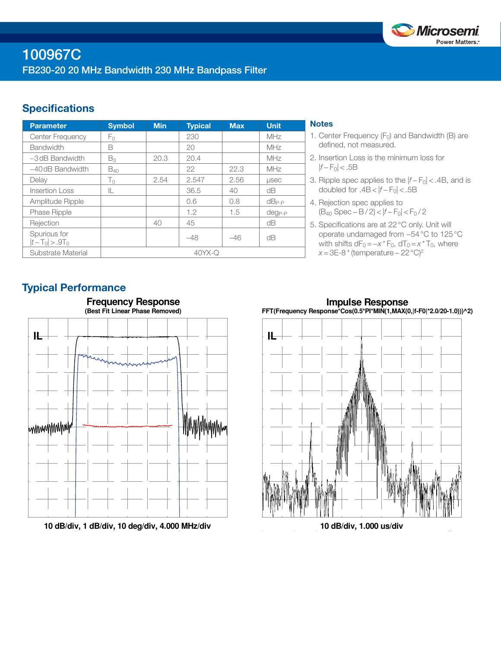

# **Specifications**

| <b>Parameter</b>                  | <b>Symbol</b> | <b>Min</b> | <b>Typical</b> | <b>Max</b> | <b>Unit</b>  |
|-----------------------------------|---------------|------------|----------------|------------|--------------|
| <b>Center Frequency</b>           | Fο            |            | 230            |            | MHz          |
| <b>Bandwidth</b>                  | B             |            | 20             |            | MHz          |
| $-3$ dB Bandwidth                 | $B_3$         | 20.3       | 20.4           |            | MHz          |
| $-40$ dB Bandwidth                | $B_{40}$      |            | 22             | 22.3       | MHz          |
| Delay                             | $T_0$         | 2.54       | 2.547          | 2.56       | <b>LISEC</b> |
| Insertion Loss                    | IL            |            | 36.5           | 40         | dΒ           |
| Amplitude Ripple                  |               |            | 0.6            | 0.8        | $dB_{P-P}$   |
| <b>Phase Ripple</b>               |               |            | 1.2            | 1.5        | $deg_{P-P}$  |
| Rejection                         |               | 40         | 45             |            | dB           |
| Spurious for<br>$ t-T_0  > .9T_0$ |               |            | $-48$          | $-46$      | dB           |
| Substrate Material                | $40YX - Q$    |            |                |            |              |

## **Notes**

- 1. Center Frequency  $(F_0)$  and Bandwidth (B) are defined, not measured.
- 2. Insertion Loss is the minimum loss for  $|f - F_0|$  < .5B
- 3. Ripple spec applies to the  $|f F_0|$  < .4B, and is doubled for  $.4B < |f - F_0| < .5B$
- 4. Rejection spec applies to (B40 Spec − B / 2) < |*f* − F0| < F0 / 2
- 5. Specifications are at 22°C only. Unit will operate undamaged from −54°C to 125°C with shifts  $dF_0 = -x * F_0$ ,  $dT_0 = x * T_0$ , where *x* = 3E-8 \* (temperature – 22 °C)<sup>2</sup>

# Typical Performance



**10 dB/div, 1 dB/div, 10 deg/div, 4.000 MHz/div**

**Impulse Response FFT(Frequency Response\*Cos(0.5\*PI\*MIN(1,MAX(0,|f-F0|\*2.0/20-1.0)))^2)**



**10 dB/div, 1.000 us/div**